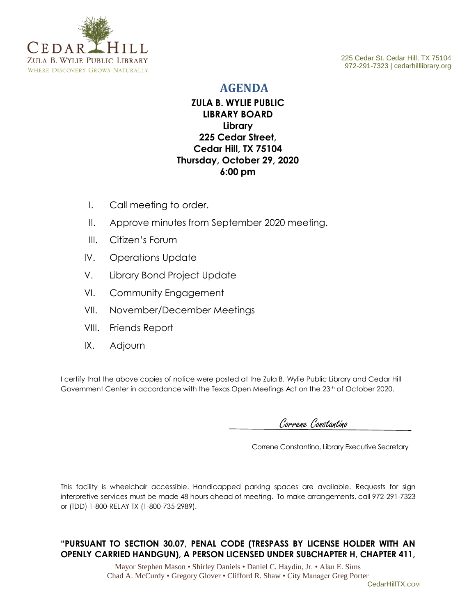

972-291-7323 | cedarhilllibrary.org

## **AGENDA**

## **ZULA B. WYLIE PUBLIC LIBRARY BOARD Library 225 Cedar Street, Cedar Hill, TX 75104 Thursday, October 29, 2020 6:00 pm**

- I. Call meeting to order.
- II. Approve minutes from September 2020 meeting.
- III. Citizen's Forum
- IV. Operations Update
- V. Library Bond Project Update
- VI. Community Engagement
- VII. November/December Meetings
- VIII. Friends Report
- IX. Adjourn

I certify that the above copies of notice were posted at the Zula B. Wylie Public Library and Cedar Hill Government Center in accordance with the Texas Open Meetings Act on the 23<sup>th</sup> of October 2020.

Correne Constantino

Correne Constantino, Library Executive Secretary

This facility is wheelchair accessible. Handicapped parking spaces are available. Requests for sign interpretive services must be made 48 hours ahead of meeting. To make arrangements, call 972-291-7323 or (TDD) 1-800-RELAY TX (1-800-735-2989).

## **"PURSUANT TO SECTION 30.07, PENAL CODE (TRESPASS BY LICENSE HOLDER WITH AN OPENLY CARRIED HANDGUN), A PERSON LICENSED UNDER SUBCHAPTER H, CHAPTER 411,**

Mayor Stephen Mason • Shirley Daniels • Daniel C. Haydin, Jr. • Alan E. Sims Chad A. McCurdy • Gregory Glover • Clifford R. Shaw • City Manager Greg Porter